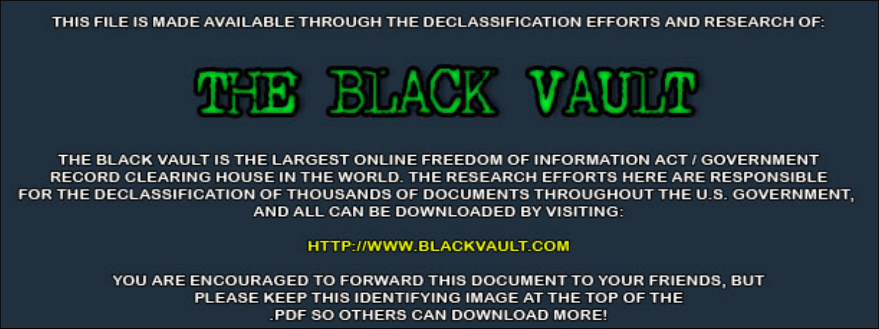THIS FILE IS MADE AVAILABLE THROUGH THE DECLASSIFICATION EFFORTS AND RESEARCH OF:



THE BLACK VAULT IS THE LARGEST ONLINE FREEDOM OF INFORMATION ACT / GOVERNMENT RECORD CLEARING HOUSE IN THE WORLD. THE RESEARCH EFFORTS HERE ARE RESPONSIBLE FOR THE DECLASSIFICATION OF THOUSANDS OF DOCUMENTS THROUGHOUT THE U.S. GOVERNMENT, AND ALL CAN BE DOWNLOADED BY VISITING:

**HTTP://WWW.BLACKVAULT.COM** 

YOU ARE ENCOURAGED TO FORWARD THIS DOCUMENT TO YOUR FRIENDS, BUT PLEASE KEEP THIS IDENTIFYING IMAGE AT THE TOP OF THE PDF SO OTHERS CAN DOWNLOAD MORE!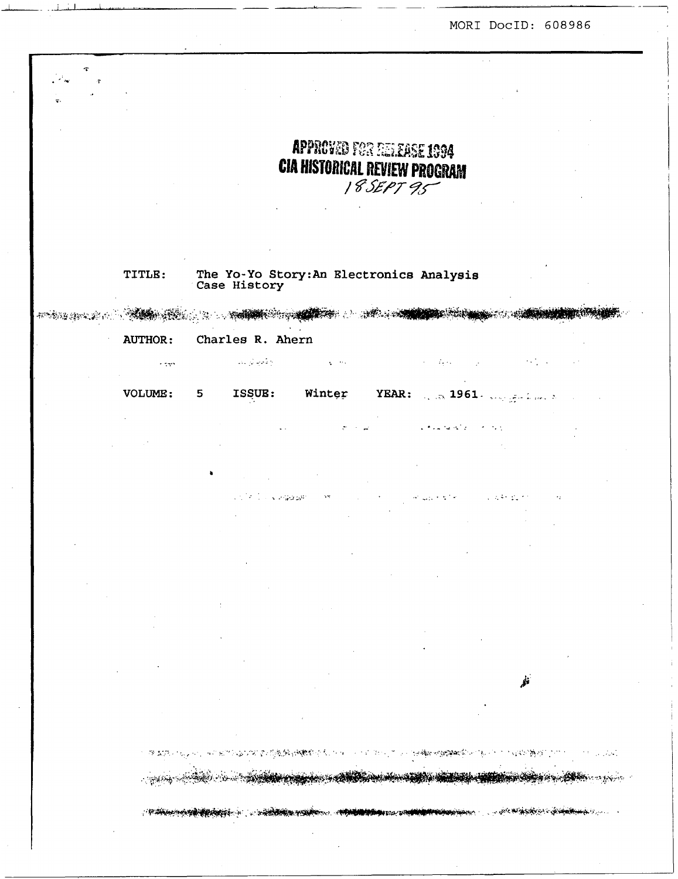MORI DocID: 608986

APPROVED FOR RELEASE 1994 **CIA HISTORICAL REVIEW PROGRAM** 18 SEPT 95 The Yo-Yo Story: An Electronics Analysis<br>Case History TITLE: **AND STATE**  $F = 2.5$  , we have the  $\mathcal{P}$ **AUTHOR:** Charles R. Ahern أراح فأمرنيا للرابات  $\chi=0.1$  $\mathcal{A}=\mathcal{A}(\mathcal{A})$  .  $\alpha$  ,  $\beta$  ,  $\beta$  $\sim$  gas VOLUME: ISSUE: Winter 5 Charles Collection .<br>Lista e Geboo  $1.44 \times 10^{-20}$ 1. P  $\mathcal{B}^{\prime}(\Sigma,\mathcal{D})$  . Navnakov vojska pri Manžela u Manžela u Manžela u Manžela u 1990. **CONTRACTORY OF CARDINAL PASSACTORY CONTACT CONTROL PORTOL COM** t is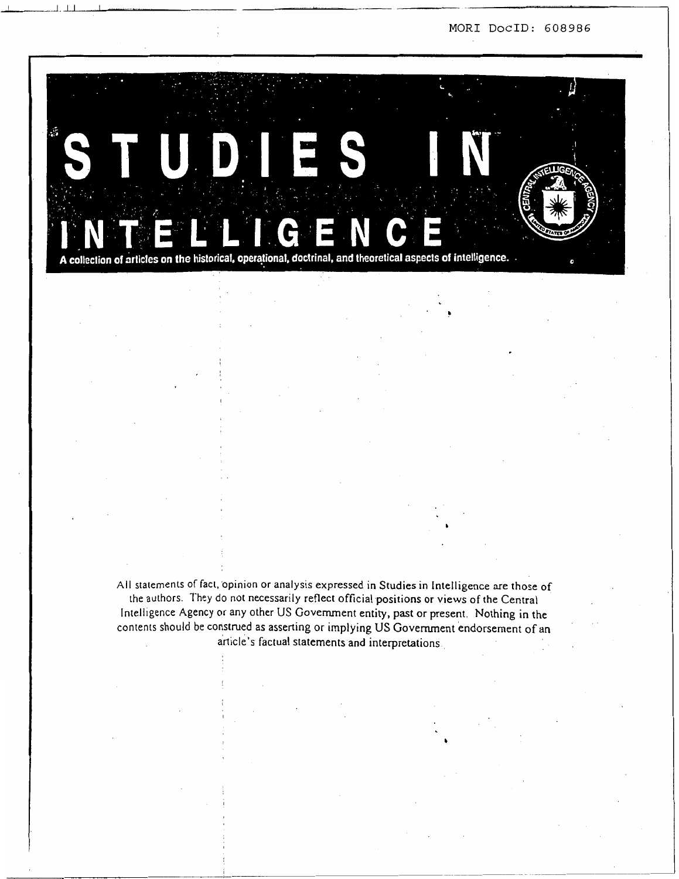MORI DocID: 608986



All statements of fact, opinion or analysis expressed in Studies in Intelligence are those of the authors. They do not necessarily reflect official positions or views of the Central Intelligence Agency or any other US Government entity, past or present. Nothing in the contents should be construed as asserting or implying US Government endorsement of an article's factual statements and interpretations.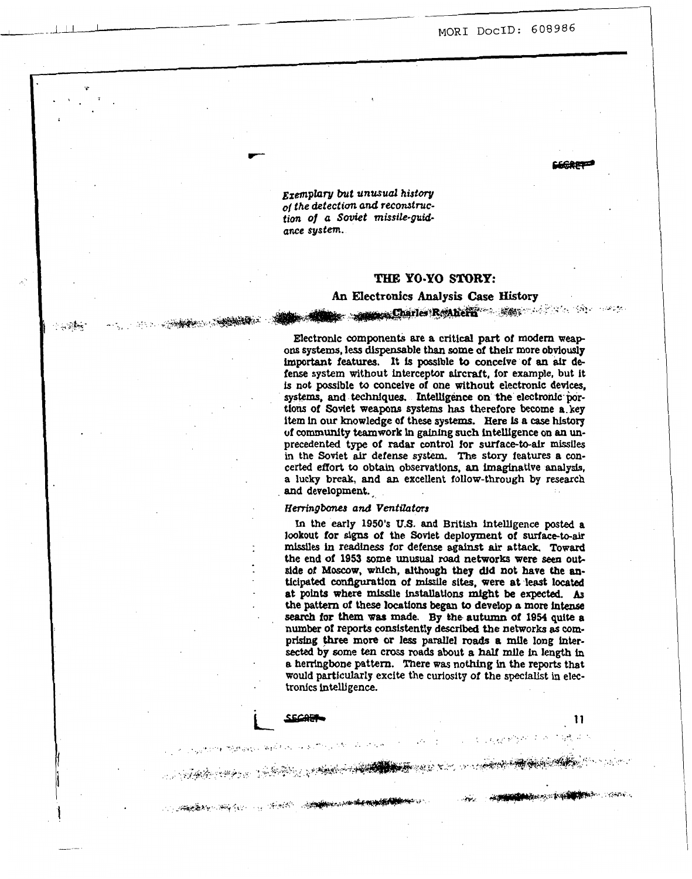MORI DocID: 608986

Exemplary but unusual history of the detection and reconstruction of a Soviet missile-guidance system.

· イント· イントントントントントランス (1998年) 2010年

 $+4.24 -$ 

# THE YO-YO STORY:

# An Electronics Analysis Case History

**Charles Reanena Charles Reachers** 2008 1999 1999 1999 1999

Electronic components are a critical part of modern weapons systems, less dispensable than some of their more obviously important features. It is possible to conceive of an air defense system without interceptor aircraft, for example, but it is not possible to conceive of one without electronic devices. systems, and techniques. Intelligence on the electronic portions of Soviet weapons systems has therefore become a key item in our knowledge of these systems. Here is a case history of community teamwork in gaining such intelligence on an unprecedented type of radar control for surface-to-air missiles in the Soviet air defense system. The story features a concerted effort to obtain observations, an imaginative analysis, a lucky break, and an excellent follow-through by research and development.

### Herringbones and Ventilators

**SCORE** 

**START AND START COMPANY OF THE CONTRACT OF A START COMPANY OF THE CONTRACT OF THE CONTRACT OF THE CONTRACT OF** 

A STANDARD AND A STRAIGHT AND A STRAIGHT

In the early 1950's U.S. and British intelligence posted a lookout for signs of the Soviet deployment of surface-to-air missiles in readiness for defense against air attack. Toward the end of 1953 some unusual road networks were seen outside of Moscow, which, although they did not have the anticipated configuration of missile sites, were at least located at points where missile installations might be expected. As the pattern of these locations began to develop a more intense search for them was made. By the autumn of 1954 quite a number of reports consistently described the networks as comprising three more or less parallel roads a mile long intersected by some ten cross roads about a half mile in length in a herringbone pattern. There was nothing in the reports that would particularly excite the curiosity of the specialist in electronics intelligence.

11

A STANDARD STANDARD STANDARD

**CONTRACTOR**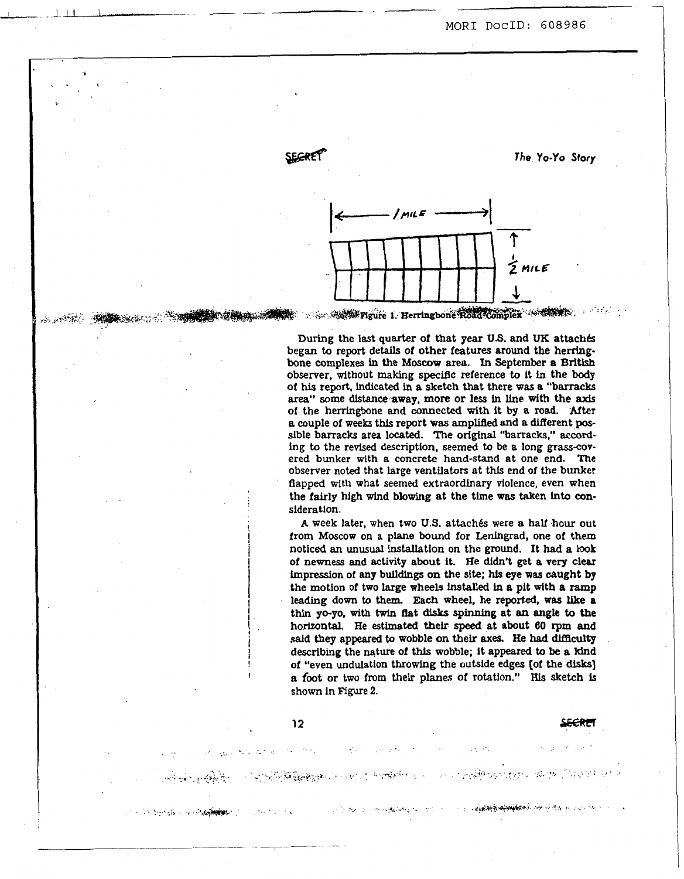- -1 I,( I, , ,, --

**I** 

..

 $-1 - 5 - 1$ 

\* *The* **YO-YO** *Story* 





During the **last** quarter of that year **US.** and **UK** attach& began to report details of other features around the herringbone complexes in the **Moscow** area. In **September a** British observer, without making **specific** reference to it in the **body of his** report, **indicated** in a sketch that there was a "barracks **area"** some **distance** away, **more** or less in he with the **axis**  of the herringbone **and connected** with it by *8* **road. 'After**  a couple of weeks this report was amplified and a different possible barracks area located. The original "barracks," according to the revised description, seemed to be a long grass-covered **bunker** with **a** concrete hand-stand at one end. *The*  observer noted that large ventilators at this end of the bunker flapped with what seemed **extraordlnary** violence, even when the fairly high wind blowing at the time was taken into consideration.

**A** week later, when two **U.S.** attach& were **a half** hour out from Moscow on a plane bound for Leningrad, one of them noticed **an unusual** installation on the ground. It had **a look**  of newness **and** activity about it. He dldn't get **a very** clear impression of **any butldings on** the **site; his eye** was **caught by**  the motion of two large wheels **installed In a** pit with **a** ramp leading down to **them. Each** wheel, he reported, **was like a**  thin **yo-yo, with** twin flat **disks spinning** at **m angle** to **the horizontal. He** estimated their *speed* at about **60 rpm** and said they appeared to wobble on their axes. He had difficulty describing the nature **of** this wobble; it appeared *to* **be** a kind of "even undulation throwing the outside **edges (of** the **disks] a** foot or two from **their** planes of rotation." His **sketch** is **shown in Figure 2.**   $\frac{12}{2}$  and  $\frac{12}{2}$  and  $\frac{12}{2}$  and  $\frac{12}{2}$  and  $\frac{12}{2}$  and  $\frac{12}{2}$  and  $\frac{12}{2}$  and  $\frac{12}{2}$  and  $\frac{12}{2}$  and  $\frac{12}{2}$  and  $\frac{12}{2}$  and  $\frac{12}{2}$  and  $\frac{12}{2}$  and  $\frac{12}{2}$  and  $\frac{12}{2}$ 

and the following of the control of the second

**AS REGIONAL PROPERTY** 

المستوجب المعارفة فالمقاومة والمستعرف المرامية المركبة

ः । अद्य<del>ाव अक्षिप∳श्रिक</del>ी पोल प्रसिद्ध स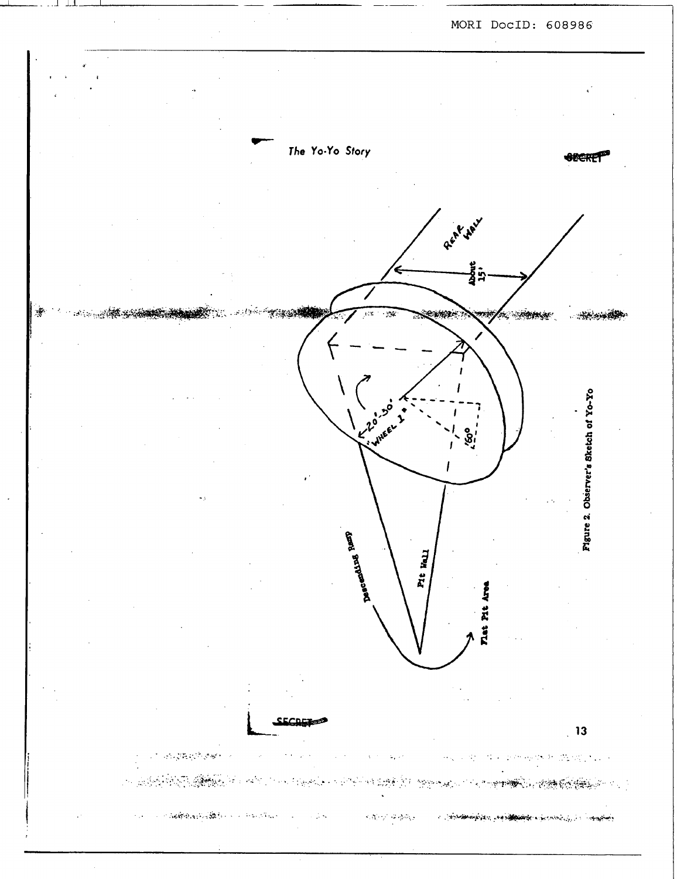

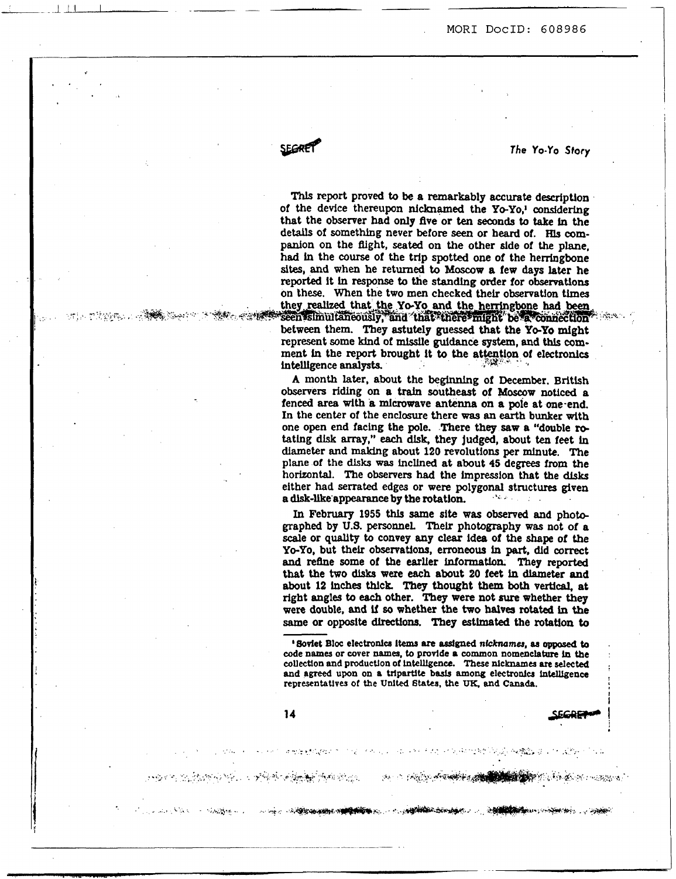**d SEGRET** The Yo-Yo Story

*Thls* report proved **to be a** remarkably **accurate** description of the device thereupon **nlcknamed** the *YO-YO,'* considering that the observer had **only** ftve or **ten seconds to** take **in** the details of something never before seen or heard of. His companion **on** the fiight, **seated on** the other side of **the** plane, **had** in the **course** of the trip spotted one of the herringbone **sites, and when** he returned to **Moscow a** few **days** later he **reported** it **In response to** the **standing** order for observatlons **on** these. When the **two men** checked their **observation** times on these. When the two men checked their observation times<br>
they realized that the Yo-Yo and the herringbone had been<br>
seen simultaneously, and that there might be a connection between them. They astutely guessed that the Yo-Yo might

represent some **kind** of mtsslle *guidance system,* **and thls corn**ment in the report brought it to the attention of electronics intelligence **analysts.** 

**A** month **later,** about the **beginning** of **December.** British observers **riding on a** train southeast of **Moscow** noticed **a**  fenced **area with a** rnlcrowave **antenna** on **a** pole at one-end. In the center of the enclosure there was an earth bunker with one open end facing the pole. There they saw a "double rotatlng *dlsk* **array,"** *each* **dlsk,** they judged, about **ten** feet **Ln**  diameter and **making** about **120** revolutions per mlnute. The plane of the **disks was** lncllned **at about 45** degrees **from** the horizontal. The observers had the hpresslon **that the dlsks**  either had serrated edges or were polygonal structures given a disk-like appearance by the rotation. **a dlsk-like** appearance **by** the rotation.

In February **1955 thls** Same **site was observed and** phob graphed **by U.S. personneL** Thelr photography **was** not of **a**  scale **or quality** to convey **any** clear idea of the **shape** of the **YO-YO,** but *theIr* observations, erroneous **in part,** did **correct and** refhe some of the earlier information. They **reported**  that the **two dlsks** were **each** about **20** feet **in diamder** and about **12** inches **thick They** thought them **both vertical, at**  right angles to *each* other. **They** were not **sure** whether **they**  were double, and if so whether the two halves rotated in the **same** or opposite **directions.** They estlmated the **rotation to** 

**'Soviet Bloc electronics items are assigned nicknames, as opposed to code names or** cover rum-, to **provide a** common **nomenclatme In the collection and productJon of** Lntelllgencc. These nicknames *are* selected : and agreed upon on a tripartite basis among electronics intelligence representatlves of **the Unlted Etatea,** the **UK, and Canada.** 

....... ... . ...... ,,. **.I.** ... .......... <. .. ,',:..,>';, ......... , .: -.': \*..I,' ...... ... < . **4** :-, .,: ... ;. ... ... .. . .\

........... ...... ..' . \*., .. *2.* ;

DE STERN STERN DE STERN DE STANDERS DE STANDER DE STANDERS DE STANDERS DE STANDERS DE STANDERS DE STANDERS DE

**Elizabeth King Harry Corporation** 

.<br>. . . . . . . . .

i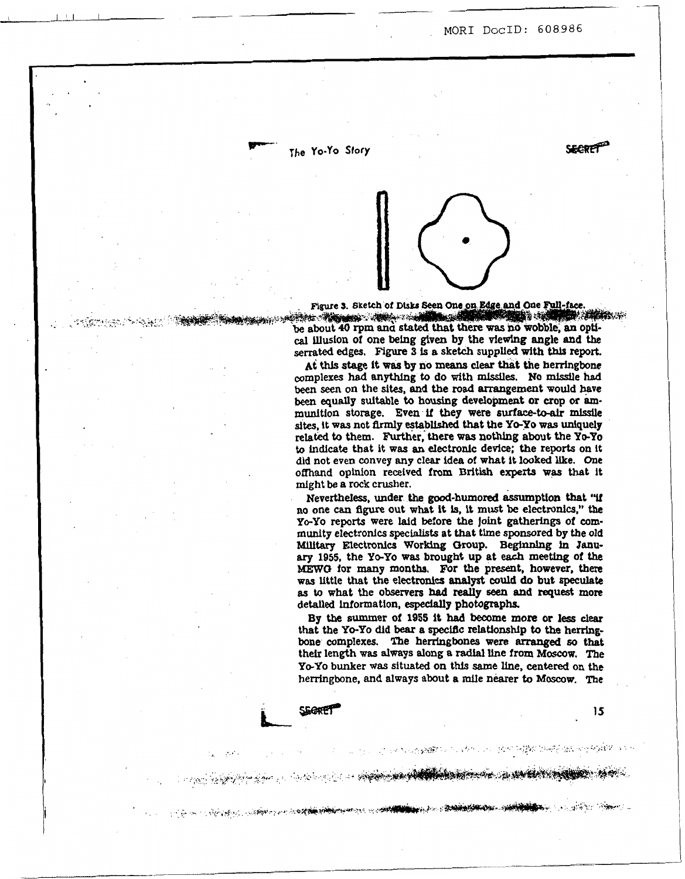**SECRE** 

The Yo-Yo Story

- *p'! ij* 

SERRE

..

.\*



Figure 3. Sketch of Disks Seen One on Edge and One Full-face and the second complete the second contract of the second contract of the second contract of the second contract of be about 40 rpm and stated that there was no wobble, an optical illusion of one being given by the viewing angle and the serrated edges. Figure 3 is a sketch supplied with this report.

**At** this **stage it was by no means** *clear* **that the** herringbone complexes had **anything** to do **with** missiles. **No missile had been** *seen* on the **sites, and the road** arrangement **would have been equally suitable** to **housing** development or crop **or am**munition storage. Even if they were surface-to-air missile sites, it was not firmly established that the Yo-Yo was uniquely related to them. Further, there **was nothlng** about the **YeYo to** indlcate **that** it **was an electronlc** devlce; **the** reports **on** it did **not** even convey **any** clear idea of what it looked *me.* One offhand opinion received from British experts was that it might **be** a **rock** crusher.

Nevertheless, under **the good-humored** assumption that **'W**  no one *can* figure **out** what **it Is,** it **must be** electronics," **the YO-YO reports** were **laid before** the joint **gatherings** of cornrnuaity electronics **specialists** at that time sponsored **by** the old **Military** Electronics **Worklng** Group. Beghmhg *in* **Janu***ary* **1955,** the **YO-YO was** brought **up** at *each* **meeting** of *the*  **MEW0** for **many months. For** the present, however, there **wm** little that the electronics **analyst could do** but **speculate**  as to what the observers had really seen and request more detailed information, especially photographs.

**By the summer of 1955 it had become more or less** *dear*  that the *Yo-yo* did **bear** a specific **relationship** to **the hemgbone** complexes. **The** herrjngbones were *arranged* **60** that thefr length was **always dong** a **radtal** line from **Mmw.** The *Yo-yo* bunker **ww** situated **on** this same **line, centered** on the herringbone, and **always about** *8* mile nearer **to Moxow. The** 

and the property of the complete of the complete of the complete of the complete of the complete of the complete of the complete of the complete of the complete of the complete of the complete of the complete of the comple

A START AND COMPANY OF A START OF THE COMMUNICATION OF THE COMMUNICATION OF THE COMMUNICATION OF THE COMMUNICATION

A SUCCESS TO A STATE THE RESEARCH SERVES OF STREET

**1s**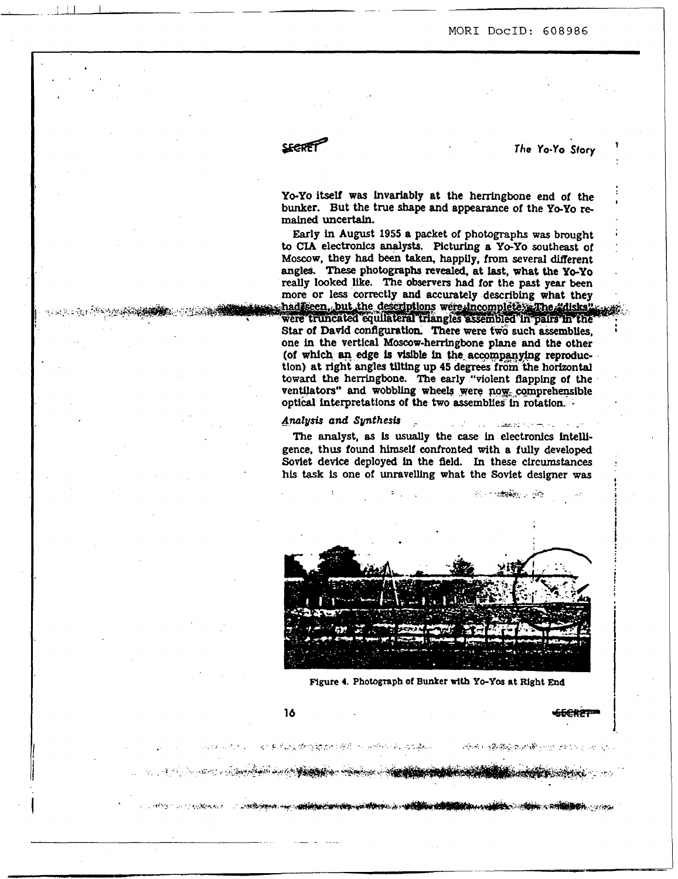-\_ -- -

. *:\*&a.* . *2,-* 

**SURA LIKE BUG DUMBER LITTLE** 

<u>I - La componenta del control del control de la control de la control de la control de la control de la control de la control de la control de la control de la control de la control de la control de la control de la contr</u>

**ARTHUR ARABIANS** 

**EXECUTE:**<br>
The Yo-Yo Sto

Yo-Yo itself was invariably at the herringbone end of the bunker. But the true **shape and** appearance *of* the *YO-YO* re**mained** uncertain.

Early in August **1955 a** packet of photographs was brought to CIA electronics analysts. Picturing a Yo-Yo southeast of **Moscow,** they had **been taken,** happily, **from** several diflerent angles. **These** photographs **revealed,** at last, **what** the **YO-YO**  really looked like. The observers had for the past year been more or less correctly and accurately describing what they haddeen, but the descriptions were incompleted The "disks"

were truncated equilateral triangles assembled in pairs in the **Star of David** configuration. **There were two such-assemblies,**  one in **the** vertical Moscow-herringbone plane **and** the other (of which an edge is visible in the accompanying reproduction) at right angles tilting up **45** degrees **from** the **horizontal toward** the herringbone. The early "violent flapphg of the ventilators" and wobbling wheels were now comprehensible optical interpretations of the two assemblies in rotation. -

### **Analysis** *and Synthesb* -

The analyst, as is usually the case in electronics intelligence, thus found himself confronted with **a** fully developed Soviet device deployed in the fleld. In these circumstances **his task is** one of unravelling what the Soviet designer **was** 



Figure 4. Photograph of Bunker with Yo-Yos at Right End

**The Contract of the Contract of the Contract of the Contract of the Contract of the Contract of the Contract of** 

16

医利斯特氏试验检输出细胞畸形 人名西班牙森 网络静脉

ARTICLE AND DESCRIPTION OF THE RESIDENCE OF A REPORT OF THE RESIDENCE OF A REPORT OF THE RESIDENCE OF THE RESIDENCE OF THE RESIDENCE OF THE RESIDENCE OF THE RESIDENCE OF THE RESIDENCE OF THE RESIDENCE OF THE RESIDENCE OF T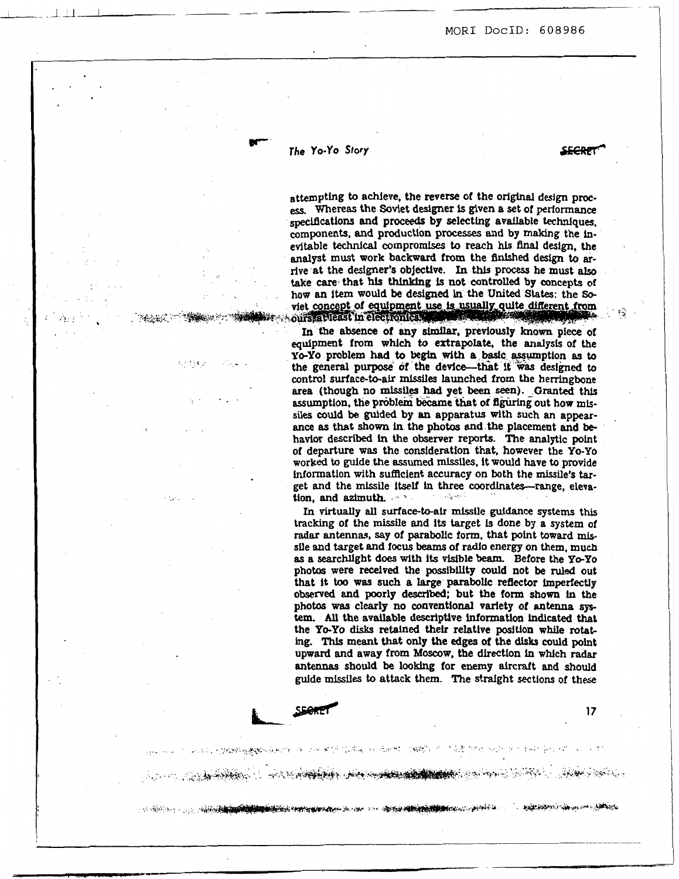# *The Yo-Yo Story*

**SEARE** 

en stationer er er ett fo**r de formalistisk for de station for de** station av de station and the station of the station of the station of the station of the station of the station of the station of the station of the stati

standard the property and the standard of the

机过常之后 法职权 的复数

**w-**

.\*

. . .\_ . **:I.:**  .. . *<sup>8</sup>* **SECRET** 

;,.

**17** 

Special property in the second was a family of the

attempting to achieve, the reverse of the original design proc**a. Whereas** the Soviet designer **is** given a set of performance specifications and proceeds by selecting available techniques. components, and production processes and by making the inevitable technical compromtses to reach **hls Bnal** design, the analyst must work backward from the finished design to arrive at the designer's objective. In this process he must also take *care* that **his thinldng is** not controlled **by** concepts of how an item would be designed in the United States: the So-<br>viet concept of equipment use is usually quite different from ours, ableast in electronic ...

In the absence of any similar, previously known piece of equipment from **whlch** *to* extrapolate, the **analysis** of the **1 a y**<sub>O</sub>-Y<sub>O</sub> **problem had to begin with a basic assumption as to the general nurmose of the device**, that if we designed to the general purpose of the device—that it was designed to contro1 surface-bair **missiles** launched from the herringbone area (though no missiles had yet been seen). Granted this assumption, the problem became that of figuring out how mis**siles** could **be** guided **by an** apparatus with such **an** appear**ance as** that **shown** in the photos **and** the placement and **be**havior described **in the** observer reports. The analytic point of departure **was** the consideration that, however the **Yo-yo worked** to guide **the assumed missiles,** it **would** have to **provide**  Informatlon with **sufRcient accuracy on** both the missile's *tar*get and the missile itself in three coordinates-range, elevation, and azimuth.  $\cdots$ 

> In **virtually all** surface-to-air mfssile guidance **systems** this tracking of the missile and its target Is done by a system of **radar antennas, say** of parabollc form, that point toward mlssfle and target **and** focus **beams** of radio energy on them, much *8s* a searchlight does **with its** vlsible **beam.** Before the *Yo-yo*  photos were received **the possibility** could not **be ruled** out that it **too was** such a huge parabollc reflector **imperfectly obsemed and** poorly described; but **the** form shown **in** the photos **was** clearly **no** conventional variety of antenna *sp*  tem. *All* the available descriptive information indicated that the Yo-Yo disks retained their relative position while rotat**ing. TNS** meant that **only** the **edges** of the **dbks** could point upward and away from **Moscow,** the direction in wNch radar **antennas** should **be looking** for enemy aircraft and **should**  guide **missiles** to attack them. The straight sectlons of these

**NASA YA MANGI YA KATI NA MANGUNA NA MANGUNA NA MANGUNA NA MANGUNA NA MANGUNA NA MANGUNA NA MANGUNA NA MANGUNA N**<br>MANGUNA NA MANGUNA NA MANGUNA NA MANGUNA NA MANGUNA NA MANGUNA NA MANGUNA NA MANGUNA NA MANGUNA NA MANGUNA N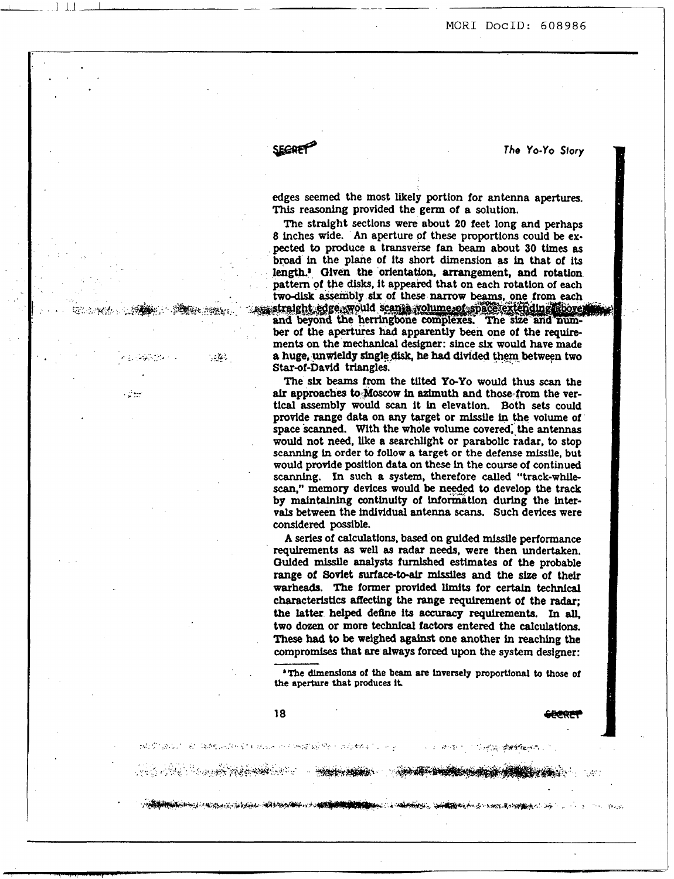**MOR1 DocID: 608986** 

SECRET<sup>2</sup>

The Yo-Yo Story

**edges seemed** the most likely portion **for** antenna apertures. This reasoning provided the germ of a solution.

The stralght sectlons **were** about **20 feet long** and perhaps **8** inches wide. **An** aperture of these proportlons could **be** ex**pected** to **produce** a transverse fan **beam** about 30 times **as broad in** the plane **of**  length.<sup>2</sup> Given the orientation, arrangement, and rotation pattern of the **disks,** It ap two-disk assembly six of these narrow beams, one from each assembly six of these narrow beams, one from each

**1**, **a 1 a huge, unwieldy single disk, he had divided them between two** Starof-David triangles. and beyond the herringbone complexes. The size and num-<br>ber of the apertures had apparently been one of the requirements on the **mechanlcal** deslgner: **since** *six* would have made

> The **SIX beams** from the tilted *YO-YO* would **thus** *scan* the *alr* approaches tO-Moscow **in** azimuth and those-from the vertical assembly would *scan* it **la** elevation. Both **sets** could provide range data **on any** target or missile **In** the volume of space *Scanned.* with the whole **volume** covered;.the **antennas**  would not **need,** like **a** searchlight or parabolic radar, to stop **scanning in order to follow a target or the defense missile, but**  would provide position data on these **in** the course of continued **scannlng, Ln** such **a system,** therefore *called* "track-while *scan,"* memory devices would **be nydied** to develop the track **by** maintaining conthulty of information during the inter**vals** between the individual **antenna** *scans.* Such devices were considered possible.

> **A series of** calculations, **based on** gulded missile **performance**  requirements **as** well **a8** radar **needs,** were then undertaken. Oulded missile **analyst8** furnished estimates of the probable range of **Soviet** *surface-to-alr* missfles **and** the *size* of thelr warheads. **The** former pmvided Umits for certaln technical characteristics **affecting** the range requirement of the **radar;**  the latter helped define its accuracy requirements. In all, two dozen or **more** technical **factors** entered the calculations. **These had** to **be** weighed **against** one another **In reachlng** the **compromises** that **are** always forced upon the system designer:

> **'The dlmendons of the beam are lnverselp proportional to those of the aperture that produces It.**

> > **START START START START START START START START START START START START START START START START START START ST**

**SANCHARD COMMUNICATION CONTRACT COMMUNICATION COMMUNICATION COMMUNICATION** 

机转移 化放电机 化异化 使成为无比的过去式和过去分词 计二进制化的 医骨髓内的 计可变性地

**医不动脉 医神经细胞增长性** 

 $\sim$ 

**r-i** "\*{: -- . -\$y&,:. -.\*,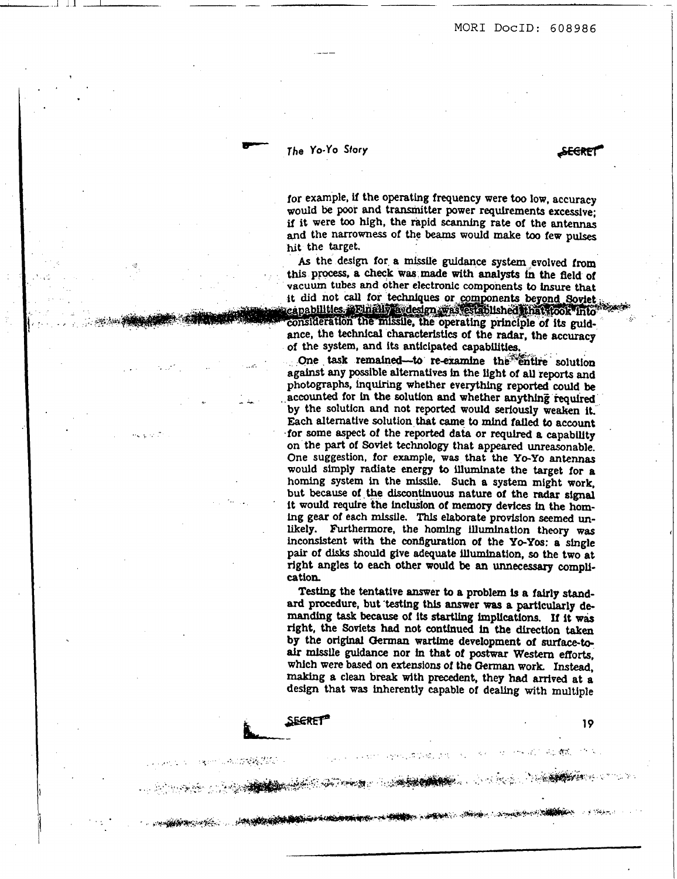SEGRET

# The Yo-Yo Story

.

--

**SECRET** 

**REDUCTOR** 

**on the completion of the completion of the completion of the completion of the completion of the completion of**<br>The completion of the completion of the completion of the completion of the completion of the completion of t

**Australia** 100

I

**I.** <.

..

,  $\frac{1}{2}$  $\ddot{\phantom{a}}$ 

**for** example, if the **operating** frequency were **too** low, accuracy **would be** poor **and** transmitter power requirements excesslve; ~f it were **too** high, the rapid scanning **rate** of the antennas **and** the narrowness **of the beams** would make **to0** few **pulses**  hit the target.

the **design** for **a** missile **guidance system** evolved from this process, a check was made with analysts in the field of vacuum tubes and other electronic components to insure that it did not call for techniques or components beyond Soviet capabilities, "Ethally a design was established inati took into

ance, the technical characteristics of the radar, the accuracy of the system, and its anticipated capabilities.

One task remained-to re-examine the entire solution against any possible alternatives in the light of all reports and photographs, inquiring whether everything reported **could be** . **accounted** for **in the** solution **and** whether **anything** tequhd **by** the soluticn and not reported **would** seriously weaken **it.**  Each alternative solution that came to mind failed to account for some aspect of the reported data or *requlred* **a** capability on the **part** of Soviet technology that appeared unreasonable. One suggestion, **for** example, **was** that the *YO-YO* **antennas**  would simply **radiate** energy **to** illumlnate the target for **a**  homing **system in** the missile. Such a **system** might **work,**  but **because of the** discontinuous nature of **the** radar **slgnal**  it would require the inclusion of memory devices in the homing gear of each missile. This elaborate provision **seemed un**likely. Furthermore, the homing lllumlnation theory **was**  inconsistent with the configuration of the Yo-Yos: a single pair of **dLsks should** give **adequate** illumination, **so** the two **at**  right angles **to** *each* other **would be an unnecessary CompU**cation

**Testing** the tentative answer **to a** problem **is a** fairly **standard** procedure, but **'testing** this answer **was a** particularly **de**manding task because of its startling implications. If it was right, the Sovlets had not **contfnued in the** direction taken **by** the **original German** wartime development *of* **surface&**  *air* mfsslle **guidance** nor **fn** that *of* postwar **Western** efforts, which were based on extensions of the German work. Instead, making a clean **break** wlth precedent, they had arrived at **a**  design that **was** inherently capable of **deallng** with multiple

an jarve, 19. lini

**19** 

近いのは、明確につい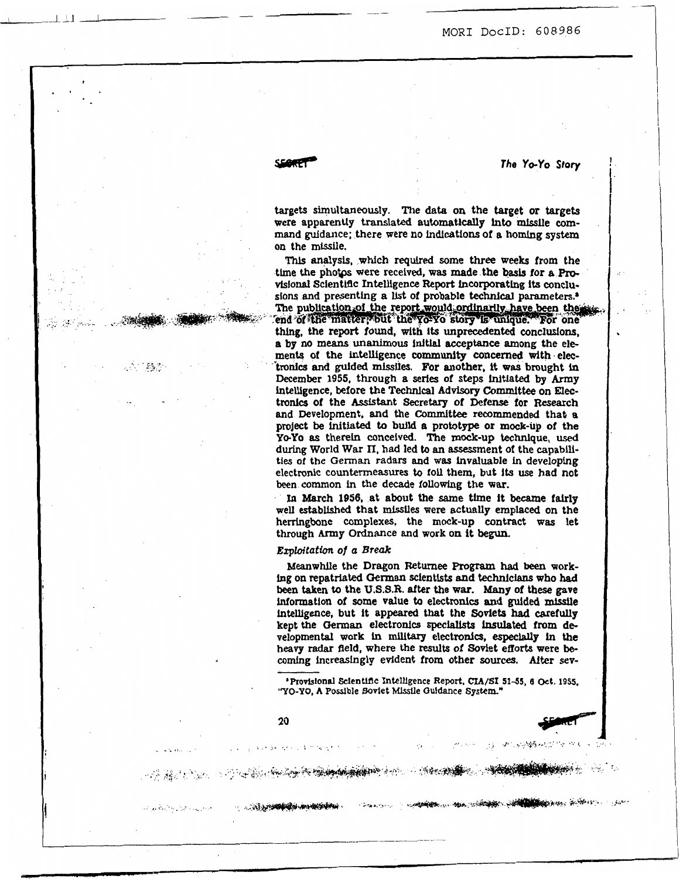**MOR1 DOCID:** *608986* 

,

*The YO-YO* **Story** 

..

targets **simultaneously.** The **data on** the target or targets were apparently translated automatically **lnto** mlsslle **cornmand** guidance; there were no indications of a **homlng system**  on the mlssiie.

Thls **analysis,** which *required* some three weeks from the time the photps were received, **was** made the **basis** for **a Pm**sions and presenting a list of probable technical parameters.<sup>3</sup> The publication of the report would ordinarily have been the sig end of the matter, but the yo-yo story is unique. For one thing, the report found, with its unprecedented conclusions, a by no means unanimous initial acceptance among the elements of the **intelligence** community **concerned** with.elec tronics and guided missiles. For another, it was brought in December **1955,** through **a series** of steps initiated **by Army**  intelligence, **before** the **Technical** Advisory Committee on **Elec**tronlcs of the **Assistant** Secretary of Defense for Research and Development, and the Committee recommended that a project be initiated to build a prototype or mock-up of the *YO-YO* **as** therein concelved. The mock-up technique, **used**  during World War II, had led to an assessment of the capabilities of the **German radars** and was invaluable in developing electronic countermeasures *to* **fall** them, but **its use** had not **been common** in the **decade** following the **war.** 

In March **1956,** at about the same time it became falrly well established that missiles were actually emplaced on the herringbone complexes, the mock-up contract **was** let through **Army** Ordnance **and** work on it **begun.** 

### *Etploitofion of* **a Break**

Meanwhile the Dragon Returnee Program **had been** work**ing on** repatriated **German** scientists and technicians who had **been** taken to the **U.S.S.R. after** the **war. Many** of these gave wormation of some value **to** electronics **and guided** missile **intelligence,** but it appeared that the Soviets **had** CarefuUy kept the German electronics specialists insulated from developmental work in military electronics, **especlauJr in** the heavy radar deld, where the **results** of Soviet efforts were **be**comfng increasingly **evident from** other **sources. After** sev-

**lProvlslonal Sclenlldc** Intelligence **Report. cLA/SI 51-55, 9 Oct. 195s.**  *"YO-YO,* **A Posslble Soviet MLsslle Oddance System"** '

some of the second state of the state of the state of the state of the state of the state of the state of the state of the state of the state of the state of the state of the state of the state of the state of the state of

**20** 

and the presentation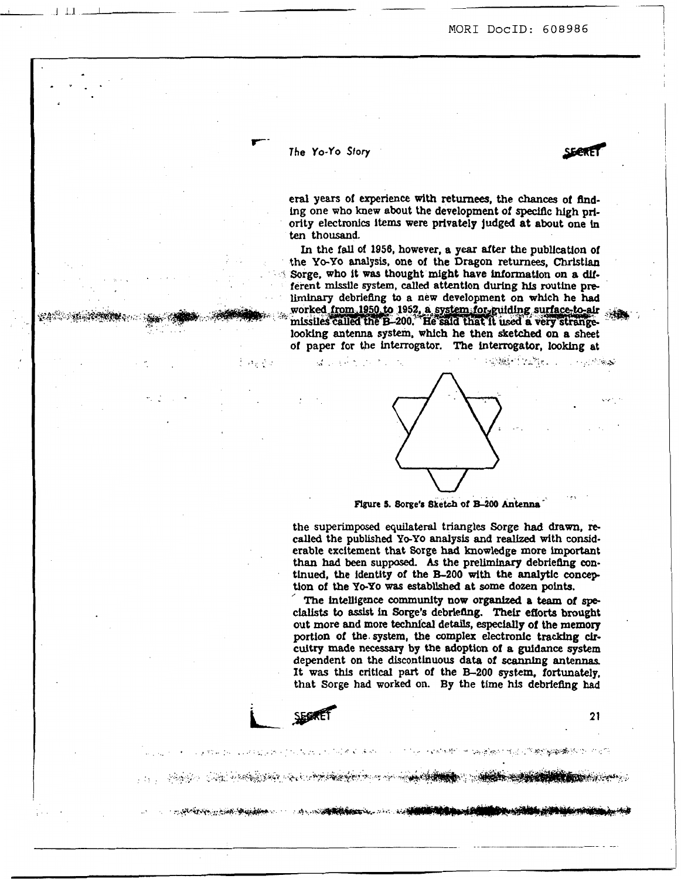**SEARE** 

1

## *The* **Yo-yo** *Story*

 $\mathcal{L} = \{ \mathcal{L} \in \mathbb{R}^n \mid \mathcal{L} \in \mathbb{R}^n \}$ 

**r-**

 $\mathcal{O}_{\mathcal{X}}\subset\mathcal{O}_{\mathcal{X}}$ 

**end years** of experience **With** returnees, the *chances* of **hd**ing one who knew about the development of specific hlgh **prfority** electronics **ltems** were privately judged at about **one** in ten thousand.

In **the** fall of **1056,** however, a **year** dter the publication of the *Yo-yo* **analysis, one** of the **Dragon** returnees, Christian Sorge, **who** it **was** thought might have information **on a** *dll*ferent **missile system,** *called* attention during **Ns** routine **pre** liminary debriefing to a new development on which he had worked from 1950 to 1952, a system for guilding surface-to-air missiles called the B-200. He said that it used a very strangelooking antenna system, which he then sketched on a sheet of paper for the interrogator. The interrogator, looking at



. **.n7**  Figure 5. Sorge's Sketch of B-200 Antenna

the **superimposed** equilateral triangles Sorge had **drawn,** re**called** the published *YO-YO* **analysis and** realized with considerable excitement that Sorge had knowledge **more important**  than had been supposed. As the preliminary debriefing continued, **the identity** of the **B-200 with** the analytlc **concep**  tion of the Yo-Yo was established at some dozen points.

The intelligence community now organized a team of specialists to assist **In** *Sorge's* debriefing. Their efforts brought out more and **more** technical details, **especially** of the memory portion of **the. system,** the complex electronic tracking *clr*cultry made **necesary** by **the** adoption of **a** guidance **system**  dependent on the discontinuous data of **scannlng antennas.**  It was this critical part of the B-200 system, fortunately, that Sorge had worked on. By the time his debriefing had <br>
SECRET 21

医阿里氏试验检胆汁 医胸膜破坏性过滤器 植物细胞植物的 计复数

- who provide can be appeared ...

 $\mathcal{L}(\mathcal{A}^{\star})$ 

A REPORT OF THE RESIDENCE OF THE CONTRACTOR OF THE STATE OF THE CONTRACTOR OF THE CONTRACTOR OF THE CONTRACTOR

<u> 1999 - An Anglysk Alemanydd yn y Gwleidd y Gwla</u>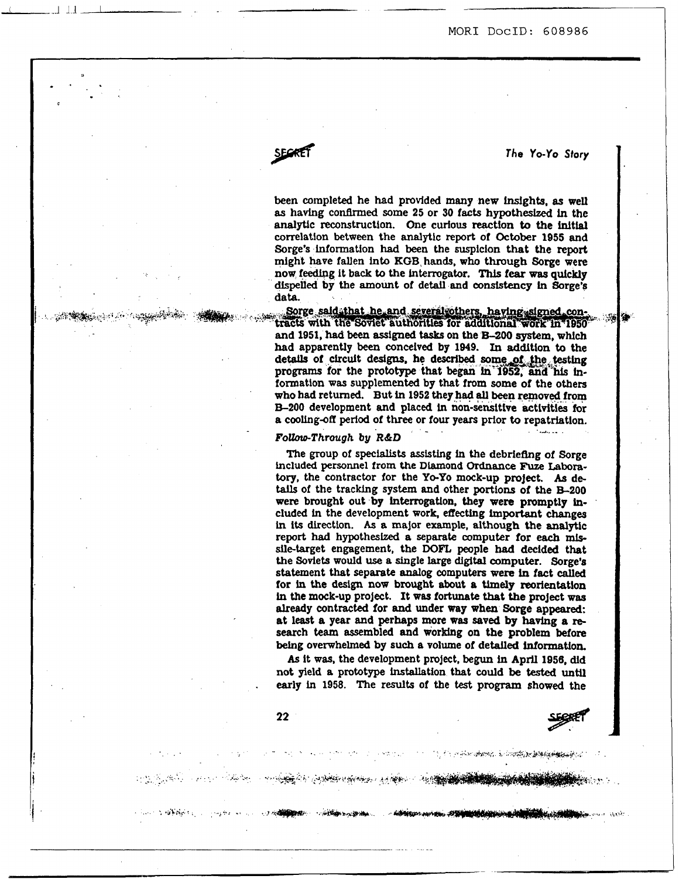SECRET

*The* **YO-YO** *Story* 

*-2* -

been completed he had **provided many** new **bights, as** well **as** having confirmed some **25** or 30 facts **hypotheshed in** the analytic reconstructlon. One **curious** reaction to the inltial correlation **between** the analytic **report** of **October 1955 and**  Sorge's information **had been** the suspicion that the report might have fallen into **EGB,** hands, **who through** Sorge were **now** feedfpg it back to **the hterrogator.** This **fear was** quickly **dispelled by the** amount of detail and consistency **ln** Sorge's data.

Sorge said that he and several others, having signed con-ن<br>کالون است **and 1951, had** been **assigned** tasks **on** the *MOO* **system, which**  had apparently been conceived by 1949. In addition to the details of circuit designs, he described some of the testing **programs** for the prototype that began **ln** 1952, and his information **was** supplemented by that from some of the others **who had** returned. But in **1952** they **had all been** removed-from **E-200** development and placed in non-sensitive activities for a cooling-off period of three or four years prior to repatriation.

### *FoltorPThrough* **by** *R&D*

The group of **specfalists asststing** in **the** debriefing **of** Sorge included personnel from the Diamond Ordnance Fuze Laboratory, the contractor for the **YO-YO mock-up** project. *As* details of the tracking system and other portions of the **B**-200 were **brought** out by **interrogation,** they **were** promptly **included ln** the development **work,** effecting important **changes**  in **tts** direction. **As a** major example, **although** the analytic report had hypothesized **a** separate **computer for** *each* mlssile-target engagement, the DOFL people had decided that the Soviets **would use** a **single large digital** computer. Sorge's statement that separate **analog** computers **were in** fact called for **in** the **design now** brought about **a Umely** reorientation **in** the mock-up project. It **was** fortunate that **the** project **was already** contracted **for and** under **way when** Sorge **appear&.**  at least **a year** and perhaps more **was** saved **by having a rp**  search **team** assembled **and** working on **the** problem before! **being** overwhelmed **by such a** volume of detailed **information.** 

*As* it **was,** the development project, **begun in April 1956, did not** yield **a** prototype installation that could **be** tested **until**  early in **1958.** The **results** of the **test** program **showed** the

<u>e a servera de la companhabilitat de la companhabilitat de la companhabilitat de la companhabilitat de la compa</u>

and the contract of the state of the contract of the contract of the state of the contract of the contract of the

**COMPANY** 

**STATISTICS** 

.

محوضين والمؤمنين والمؤلاف والمناد